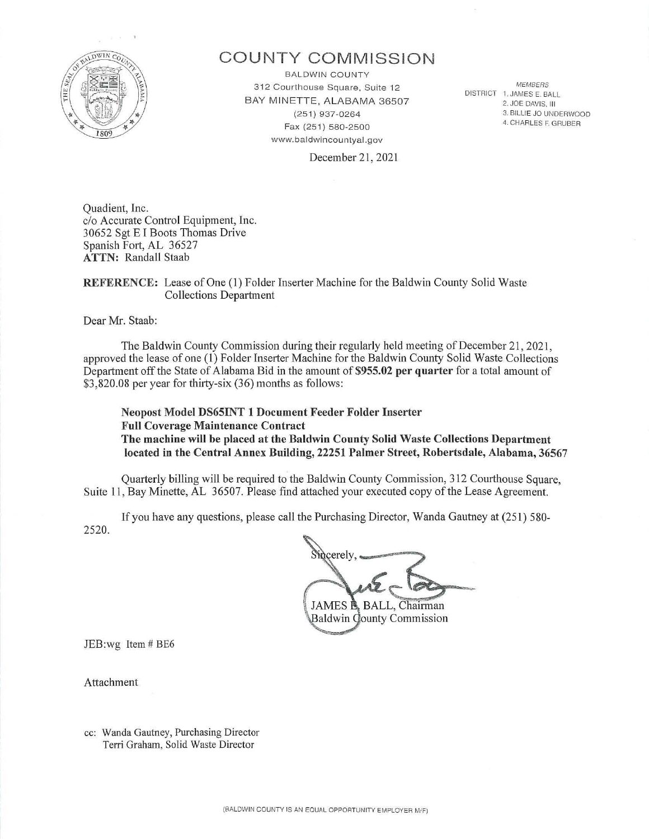

# **COUNTY COMMISSION**

BALDWIN COUNTY 312 Courthouse Square, Suite 12 BAY MINETTE, ALABAMA 36507 (251) 937-0264 Fax (251) 580-2500 www.baldwincountyal.gov

*MEMBERS*  DISTRICT 1. JAMES E. BALL 2. JOE DAVIS. Ill 3. BILLIE JO UNDERWOOD 4. CHARLES F. GRUBER

December 21, 2021

Quadient, Inc. c/o Accurate Control Equipment, Inc. 30652 Sgt EI Boots Thomas Drive Spanish Fort, AL 36527 **ATTN: Randall Staab** 

## **REFERENCE:** Lease of One (1) Folder Inserter Machine for the Baldwin County Solid Waste Collections Department

Dear Mr. Staab:

The Baldwin County Commission during their regularly held meeting of December 21, 2021 , approved the lease of one (1) Folder Insetter Machine for the Baldwin County Solid Waste Collections Department off the State of Alabama Bid in the amount of \$955.02 per quarter for a total amount of \$3,820.08 per year for thitty-six (36) months as follows:

**Neopost Model DS65INT 1 Document Feeder Folder Inserter Full Coverage Maintenance Contract The machine will be placed at the Baldwin County Solid Waste Collections Department located in the Central Annex Building, 22251 Palmer Street, Robertsdale, Alabama, 36567** 

Quarterly billing will be required to the Baldwin County Commission, 312 Courthouse Square, Suite 11, Bay Minette, AL 36507. Please find attached your executed copy of the Lease Agreement.

If you have any questions, please call the Purchasing Director, Wanda Gautney at (251) 580-2520.

asing Director, Wanda Gaut JAMES **B.** BALL, Chairman **Baldwin County Commission** 

JEB:wg Item # BE6

Attachment

cc: Wanda Gautney, Purchasing Director Terri Graham, Solid Waste Director